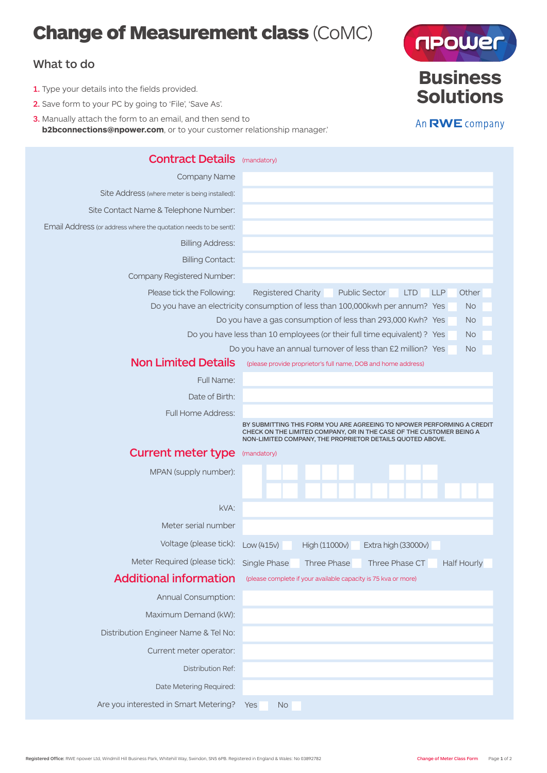# Change of Measurement class (CoMC)

## What to do

- 1. Type your details into the fields provided.
- 2. Save form to your PC by going to 'File', 'Save As'.
- 3. Manually attach the form to an email, and then send to **b2bconnections@npower.com**, or to your customer relationship manager.'





## **Solutions** An RWE company

**Business**